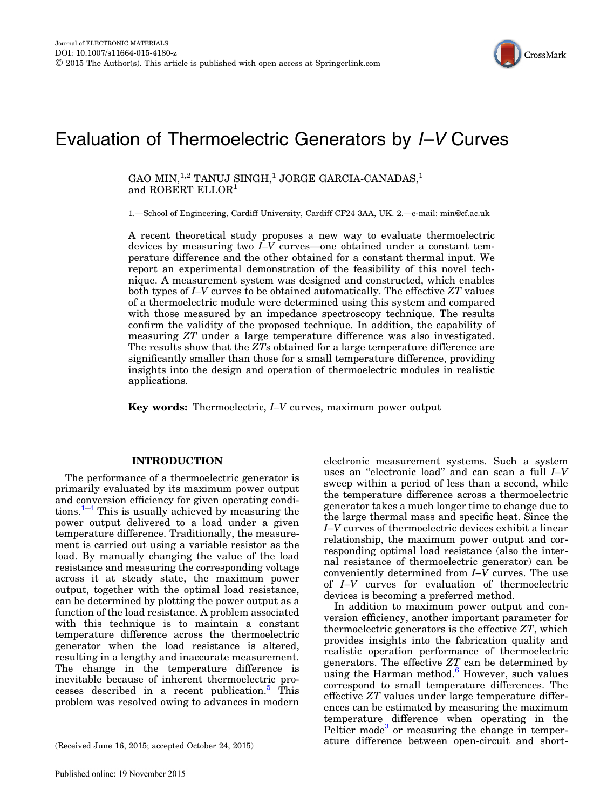

# Evaluation of Thermoelectric Generators by I–V Curves

GAO MIN,<sup>1,2</sup> TANUJ SINGH,<sup>1</sup> JORGE GARCIA-CANADAS,<sup>1</sup> and ROBERT ELLOR<sup>1</sup>

1.—School of Engineering, Cardiff University, Cardiff CF24 3AA, UK. 2.—e-mail: min@cf.ac.uk

A recent theoretical study proposes a new way to evaluate thermoelectric devices by measuring two I–V curves—one obtained under a constant temperature difference and the other obtained for a constant thermal input. We report an experimental demonstration of the feasibility of this novel technique. A measurement system was designed and constructed, which enables both types of  $I-V$  curves to be obtained automatically. The effective  $ZT$  values of a thermoelectric module were determined using this system and compared with those measured by an impedance spectroscopy technique. The results confirm the validity of the proposed technique. In addition, the capability of measuring ZT under a large temperature difference was also investigated. The results show that the ZTs obtained for a large temperature difference are significantly smaller than those for a small temperature difference, providing insights into the design and operation of thermoelectric modules in realistic applications.

Key words: Thermoelectric, I–V curves, maximum power output

## INTRODUCTION

The performance of a thermoelectric generator is primarily evaluated by its maximum power output and conversion efficiency for given operating conditions. $1-4$  $1-4$  $1-4$  This is usually achieved by measuring the power output delivered to a load under a given temperature difference. Traditionally, the measurement is carried out using a variable resistor as the load. By manually changing the value of the load resistance and measuring the corresponding voltage across it at steady state, the maximum power output, together with the optimal load resistance, can be determined by plotting the power output as a function of the load resistance. A problem associated with this technique is to maintain a constant temperature difference across the thermoelectric generator when the load resistance is altered, resulting in a lengthy and inaccurate measurement. The change in the temperature difference is inevitable because of inherent thermoelectric pro-cesses described in a recent publication.<sup>[5](#page-4-0)</sup> This problem was resolved owing to advances in modern

electronic measurement systems. Such a system uses an "electronic load" and can scan a full  $I-V$ sweep within a period of less than a second, while the temperature difference across a thermoelectric generator takes a much longer time to change due to the large thermal mass and specific heat. Since the I–V curves of thermoelectric devices exhibit a linear relationship, the maximum power output and corresponding optimal load resistance (also the internal resistance of thermoelectric generator) can be conveniently determined from I–V curves. The use of I–V curves for evaluation of thermoelectric devices is becoming a preferred method.

In addition to maximum power output and conversion efficiency, another important parameter for thermoelectric generators is the effective  $ZT$ , which provides insights into the fabrication quality and realistic operation performance of thermoelectric generators. The effective  $ZT$  can be determined by using the Harman method. $6$  However, such values correspond to small temperature differences. The effective ZT values under large temperature differences can be estimated by measuring the maximum temperature difference when operating in the Peltier mode<sup>[3](#page-4-0)</sup> or measuring the change in temper-Received June 16, 2015; accepted October 24, 2015) ature difference between open-circuit and short-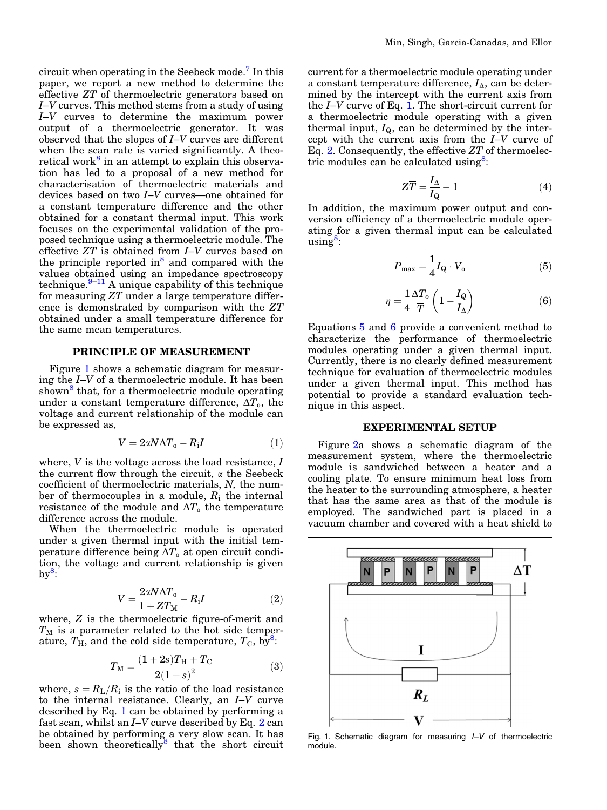<span id="page-1-0"></span>circuit when operating in the Seebeck mode.<sup>[7](#page-4-0)</sup> In this paper, we report a new method to determine the effective ZT of thermoelectric generators based on I–V curves. This method stems from a study of using I–V curves to determine the maximum power output of a thermoelectric generator. It was observed that the slopes of I–V curves are different when the scan rate is varied significantly. A theo-retical work<sup>[8](#page-4-0)</sup> in an attempt to explain this observation has led to a proposal of a new method for characterisation of thermoelectric materials and devices based on two I–V curves—one obtained for a constant temperature difference and the other obtained for a constant thermal input. This work focuses on the experimental validation of the proposed technique using a thermoelectric module. The effective ZT is obtained from I–V curves based on the principle reported in $8$  and compared with the values obtained using an impedance spectroscopy technique. $9-11$  A unique capability of this technique for measuring  $ZT$  under a large temperature difference is demonstrated by comparison with the ZT obtained under a small temperature difference for the same mean temperatures.

# PRINCIPLE OF MEASUREMENT

Figure 1 shows a schematic diagram for measuring the I–V of a thermoelectric module. It has been shown<sup>[8](#page-4-0)</sup> that, for a thermoelectric module operating under a constant temperature difference,  $\Delta T_0$ , the voltage and current relationship of the module can be expressed as,

$$
V = 2\alpha N \Delta T_0 - R_i I \tag{1}
$$

where,  $V$  is the voltage across the load resistance,  $I$ the current flow through the circuit,  $\alpha$  the Seebeck coefficient of thermoelectric materials, N, the number of thermocouples in a module,  $R_i$  the internal resistance of the module and  $\Delta T_0$  the temperature difference across the module.

When the thermoelectric module is operated under a given thermal input with the initial temperature difference being  $\Delta T_0$  at open circuit condition, the voltage and current relationship is given  $by<sup>8</sup>$  $by<sup>8</sup>$  $by<sup>8</sup>$ :

$$
V = \frac{2\alpha N\Delta T_o}{1 + ZT_M} - R_i I \tag{2}
$$

where, Z is the thermoelectric figure-of-merit and  $T_M$  is a parameter related to the hot side temperature,  $T_{\rm H}$ , and the cold side temperature,  $T_{\rm C}$ , by<sup>[8](#page-4-0)</sup>:

$$
T_{\rm M} = \frac{(1+2s)T_{\rm H} + T_{\rm C}}{2(1+s)^2} \tag{3}
$$

where,  $s = R_{\rm L}/R_{\rm i}$  is the ratio of the load resistance to the internal resistance. Clearly, an I–V curve described by Eq. 1 can be obtained by performing a fast scan, whilst an I–V curve described by Eq. 2 can be obtained by performing a very slow scan. It has been shown theoretically<sup>[8](#page-4-0)</sup> that the short circuit current for a thermoelectric module operating under a constant temperature difference,  $I_{\Delta}$ , can be determined by the intercept with the current axis from the I–V curve of Eq. 1. The short-circuit current for a thermoelectric module operating with a given thermal input,  $I_{Q}$ , can be determined by the intercept with the current axis from the I–V curve of Eq. 2. Consequently, the effective  $ZT$  of thermoelec-tric modules can be calculated using<sup>[8](#page-4-0)</sup>:

$$
Z\overline{T} = \frac{I_{\Delta}}{I_{\rm Q}} - 1\tag{4}
$$

In addition, the maximum power output and conversion efficiency of a thermoelectric module operating for a given thermal input can be calculated  $using<sup>8</sup>$  $using<sup>8</sup>$  $using<sup>8</sup>$ :

$$
P_{\text{max}} = \frac{1}{4} I_{\text{Q}} \cdot V_{\text{o}} \tag{5}
$$

$$
\eta = \frac{1}{4} \frac{\Delta T_o}{\overline{T}} \left( 1 - \frac{I_Q}{I_\Delta} \right) \tag{6}
$$

Equations 5 and 6 provide a convenient method to characterize the performance of thermoelectric modules operating under a given thermal input. Currently, there is no clearly defined measurement technique for evaluation of thermoelectric modules under a given thermal input. This method has potential to provide a standard evaluation technique in this aspect.

## EXPERIMENTAL SETUP

Figure [2a](#page-2-0) shows a schematic diagram of the measurement system, where the thermoelectric module is sandwiched between a heater and a cooling plate. To ensure minimum heat loss from the heater to the surrounding atmosphere, a heater that has the same area as that of the module is employed. The sandwiched part is placed in a vacuum chamber and covered with a heat shield to



Fig. 1. Schematic diagram for measuring  $I-V$  of thermoelectric module.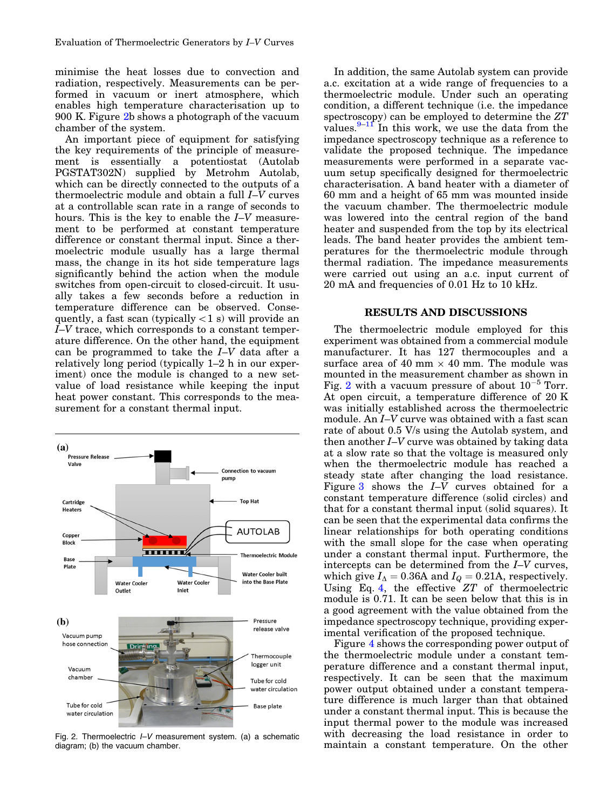<span id="page-2-0"></span>minimise the heat losses due to convection and radiation, respectively. Measurements can be performed in vacuum or inert atmosphere, which enables high temperature characterisation up to 900 K. Figure 2b shows a photograph of the vacuum chamber of the system.

An important piece of equipment for satisfying the key requirements of the principle of measurement is essentially a potentiostat (Autolab PGSTAT302N) supplied by Metrohm Autolab, which can be directly connected to the outputs of a thermoelectric module and obtain a full I–V curves at a controllable scan rate in a range of seconds to hours. This is the key to enable the I–V measurement to be performed at constant temperature difference or constant thermal input. Since a thermoelectric module usually has a large thermal mass, the change in its hot side temperature lags significantly behind the action when the module switches from open-circuit to closed-circuit. It usually takes a few seconds before a reduction in temperature difference can be observed. Consequently, a fast scan (typically  $<$ 1 s) will provide an I–V trace, which corresponds to a constant temperature difference. On the other hand, the equipment can be programmed to take the I–V data after a relatively long period (typically 1–2 h in our experiment) once the module is changed to a new setvalue of load resistance while keeping the input heat power constant. This corresponds to the measurement for a constant thermal input.



diagram; (b) the vacuum chamber.

In addition, the same Autolab system can provide a.c. excitation at a wide range of frequencies to a thermoelectric module. Under such an operating condition, a different technique (i.e. the impedance spectroscopy) can be employed to determine the ZT values. $9-11$  In this work, we use the data from the impedance spectroscopy technique as a reference to validate the proposed technique. The impedance measurements were performed in a separate vacuum setup specifically designed for thermoelectric characterisation. A band heater with a diameter of 60 mm and a height of 65 mm was mounted inside the vacuum chamber. The thermoelectric module was lowered into the central region of the band heater and suspended from the top by its electrical leads. The band heater provides the ambient temperatures for the thermoelectric module through thermal radiation. The impedance measurements were carried out using an a.c. input current of 20 mA and frequencies of 0.01 Hz to 10 kHz.

### RESULTS AND DISCUSSIONS

The thermoelectric module employed for this experiment was obtained from a commercial module manufacturer. It has 127 thermocouples and a surface area of 40 mm  $\times$  40 mm. The module was mounted in the measurement chamber as shown in Fig. 2 with a vacuum pressure of about  $10^{-5}$  Torr. At open circuit, a temperature difference of 20 K was initially established across the thermoelectric module. An I–V curve was obtained with a fast scan rate of about 0.5 V/s using the Autolab system, and then another I–V curve was obtained by taking data at a slow rate so that the voltage is measured only when the thermoelectric module has reached a steady state after changing the load resistance. Figure  $3$  shows the  $I-V$  curves obtained for a constant temperature difference (solid circles) and that for a constant thermal input (solid squares). It can be seen that the experimental data confirms the linear relationships for both operating conditions with the small slope for the case when operating under a constant thermal input. Furthermore, the intercepts can be determined from the I–V curves, which give  $I_\Delta = 0.36$ A and  $I_Q = 0.21$ A, respectively. Using Eq. [4,](#page-1-0) the effective ZT of thermoelectric module is 0.71. It can be seen below that this is in a good agreement with the value obtained from the impedance spectroscopy technique, providing experimental verification of the proposed technique.

Figure [4](#page-3-0) shows the corresponding power output of the thermoelectric module under a constant temperature difference and a constant thermal input, respectively. It can be seen that the maximum power output obtained under a constant temperature difference is much larger than that obtained under a constant thermal input. This is because the input thermal power to the module was increased with decreasing the load resistance in order to Fig. 2. Thermoelectric I–V measurement system. (a) a schematic with decreasing the Ioad resistance in order to<br>diagram: (b) the vacuum chamber. (b) the other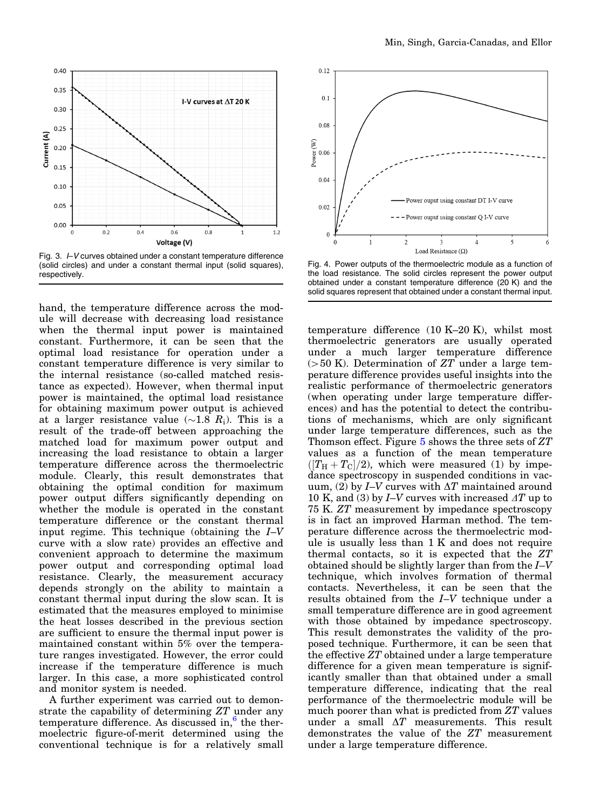<span id="page-3-0"></span>

Fig. 3.  $\mu$ V curves obtained under a constant temperature difference (solid circles) and under a constant thermal input (solid squares), respectively.

hand, the temperature difference across the module will decrease with decreasing load resistance when the thermal input power is maintained constant. Furthermore, it can be seen that the optimal load resistance for operation under a constant temperature difference is very similar to the internal resistance (so-called matched resistance as expected). However, when thermal input power is maintained, the optimal load resistance for obtaining maximum power output is achieved at a larger resistance value  $(\sim 1.8 \ R_i)$ . This is a result of the trade-off between approaching the matched load for maximum power output and increasing the load resistance to obtain a larger temperature difference across the thermoelectric module. Clearly, this result demonstrates that obtaining the optimal condition for maximum power output differs significantly depending on whether the module is operated in the constant temperature difference or the constant thermal input regime. This technique (obtaining the  $I-V$ curve with a slow rate) provides an effective and convenient approach to determine the maximum power output and corresponding optimal load resistance. Clearly, the measurement accuracy depends strongly on the ability to maintain a constant thermal input during the slow scan. It is estimated that the measures employed to minimise the heat losses described in the previous section are sufficient to ensure the thermal input power is maintained constant within 5% over the temperature ranges investigated. However, the error could increase if the temperature difference is much larger. In this case, a more sophisticated control and monitor system is needed.

A further experiment was carried out to demonstrate the capability of determining ZT under any temperature difference. As discussed in, $6$  the thermoelectric figure-of-merit determined using the conventional technique is for a relatively small



Fig. 4. Power outputs of the thermoelectric module as a function of the load resistance. The solid circles represent the power output obtained under a constant temperature difference (20 K) and the solid squares represent that obtained under a constant thermal input.

temperature difference (10 K–20 K), whilst most thermoelectric generators are usually operated under a much larger temperature difference  $(>50 \text{ K})$ . Determination of ZT under a large temperature difference provides useful insights into the realistic performance of thermoelectric generators (when operating under large temperature differences) and has the potential to detect the contributions of mechanisms, which are only significant under large temperature differences, such as the Thomson effect. Figure [5](#page-4-0) shows the three sets of  $ZT$ values as a function of the mean temperature  $([T<sub>H</sub> + T<sub>C</sub>]/2)$ , which were measured (1) by impedance spectroscopy in suspended conditions in vacuum, (2) by *I–V* curves with  $\Delta T$  maintained around 10 K, and (3) by  $I-V$  curves with increased  $\Delta T$  up to 75 K. ZT measurement by impedance spectroscopy is in fact an improved Harman method. The temperature difference across the thermoelectric module is usually less than 1 K and does not require thermal contacts, so it is expected that the ZT obtained should be slightly larger than from the I–V technique, which involves formation of thermal contacts. Nevertheless, it can be seen that the results obtained from the I–V technique under a small temperature difference are in good agreement with those obtained by impedance spectroscopy. This result demonstrates the validity of the proposed technique. Furthermore, it can be seen that the effective ZT obtained under a large temperature difference for a given mean temperature is significantly smaller than that obtained under a small temperature difference, indicating that the real performance of the thermoelectric module will be much poorer than what is predicted from ZT values under a small  $\Delta T$  measurements. This result demonstrates the value of the ZT measurement under a large temperature difference.